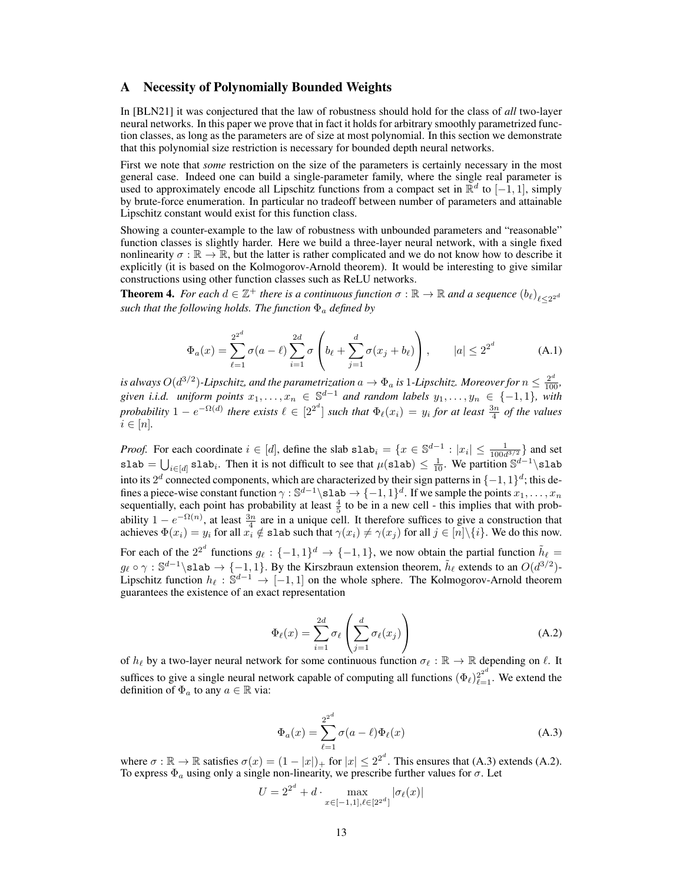## A Necessity of Polynomially Bounded Weights

In [BLN21] it was conjectured that the law of robustness should hold for the class of *all* two-layer neural networks. In this paper we prove that in fact it holds for arbitrary smoothly parametrized function classes, as long as the parameters are of size at most polynomial. In this section we demonstrate that this polynomial size restriction is necessary for bounded depth neural networks.

First we note that *some* restriction on the size of the parameters is certainly necessary in the most general case. Indeed one can build a single-parameter family, where the single real parameter is used to approximately encode all Lipschitz functions from a compact set in  $\mathbb{R}^d$  to  $[-1, 1]$ , simply by brute-force enumeration. In particular no tradeoff between number of parameters and attainable Lipschitz constant would exist for this function class.

Showing a counter-example to the law of robustness with unbounded parameters and "reasonable" function classes is slightly harder. Here we build a three-layer neural network, with a single fixed nonlinearity  $\sigma : \mathbb{R} \to \mathbb{R}$ , but the latter is rather complicated and we do not know how to describe it explicitly (it is based on the Kolmogorov-Arnold theorem). It would be interesting to give similar constructions using other function classes such as ReLU networks.

**Theorem 4.** For each  $d \in \mathbb{Z}^+$  there is a continuous function  $\sigma : \mathbb{R} \to \mathbb{R}$  and a sequence  $(b_\ell)_{\ell \leq 2^{2^d}}$ *such that the following holds. The function* Φ<sup>a</sup> *defined by*

$$
\Phi_a(x) = \sum_{\ell=1}^{2^{2^d}} \sigma(a-\ell) \sum_{i=1}^{2d} \sigma \left( b_\ell + \sum_{j=1}^d \sigma(x_j + b_\ell) \right), \qquad |a| \le 2^{2^d} \tag{A.1}
$$

is always O(d $^{3/2}$ )-Lipschitz, and the parametrization  $a\to\Phi_a$  is  $1$ -Lipschitz. Moreover for  $n\leq\frac{2^d}{100},$ given i.i.d. uniform points  $x_1, \ldots, x_n \in \mathbb{S}^{d-1}$  and random labels  $y_1, \ldots, y_n \in \{-1, 1\}$ , with *probability*  $1 - e^{-\Omega(d)}$  *there exists*  $\ell \in [2^{2^d}]$  *such that*  $\Phi_{\ell}(x_i) = y_i$  *for at least*  $\frac{3n}{4}$  *of the values*  $i \in [n]$ .

*Proof.* For each coordinate  $i \in [d]$ , define the slab  $\text{slab}_i = \{x \in \mathbb{S}^{d-1} : |x_i| \leq \frac{1}{100d^{3/2}}\}$  and set slab  $=\bigcup_{i\in[d]}$  slab<sub>i</sub>. Then it is not difficult to see that  $\mu(\texttt{slab}) \leq \frac{1}{10}$ . We partition  $\mathbb{S}^{d-1}\backslash \texttt{slab}$ into its  $2^d$  connected components, which are characterized by their sign patterns in  $\{-1,1\}^d$ ; this defines a piece-wise constant function  $\gamma : \mathbb{S}^{d-1} \setminus \mathsf{slab} \to \{-1,1\}^d$ . If we sample the points  $x_1, \ldots, x_n$ sequentially, each point has probability at least  $\frac{4}{5}$  to be in a new cell - this implies that with probability  $1 - e^{-\Omega(n)}$ , at least  $\frac{3n}{4}$  are in a unique cell. It therefore suffices to give a construction that achieves  $\Phi(x_i) = y_i$  for all  $x_i \notin \text{slab}$  such that  $\gamma(x_i) \neq \gamma(x_j)$  for all  $j \in [n] \setminus \{i\}$ . We do this now.

For each of the  $2^{2^d}$  functions  $g_\ell : \{-1,1\}^d \to \{-1,1\}$ , we now obtain the partial function  $\tilde{h}_\ell =$  $g_\ell \circ \gamma : \mathbb{S}^{d-1} \setminus \text{slab} \to \{-1, 1\}.$  By the Kirszbraun extension theorem,  $\tilde{h}_\ell$  extends to an  $O(d^{3/2})$ -Lipschitz function  $h_{\ell} : \mathbb{S}^{d-1} \to [-1, 1]$  on the whole sphere. The Kolmogorov-Arnold theorem guarantees the existence of an exact representation

$$
\Phi_{\ell}(x) = \sum_{i=1}^{2d} \sigma_{\ell} \left( \sum_{j=1}^{d} \sigma_{\ell}(x_j) \right)
$$
\n(A.2)

of  $h_\ell$  by a two-layer neural network for some continuous function  $\sigma_\ell : \mathbb{R} \to \mathbb{R}$  depending on  $\ell$ . It suffices to give a single neural network capable of computing all functions  $(\Phi_\ell)_{\ell=1}^{2^{2^d}}$ . We extend the definition of  $\Phi_a$  to any  $a \in \mathbb{R}$  via:

$$
\Phi_a(x) = \sum_{\ell=1}^{2^{2^d}} \sigma(a-\ell)\Phi_\ell(x) \tag{A.3}
$$

where  $\sigma : \mathbb{R} \to \mathbb{R}$  satisfies  $\sigma(x) = (1 - |x|)_+$  for  $|x| \leq 2^{2^d}$ . This ensures that (A.3) extends (A.2). To express  $\Phi_a$  using only a single non-linearity, we prescribe further values for  $\sigma$ . Let

$$
U = 2^{2^d} + d \cdot \max_{x \in [-1,1], \ell \in [2^{2^d}]} |\sigma_{\ell}(x)|
$$